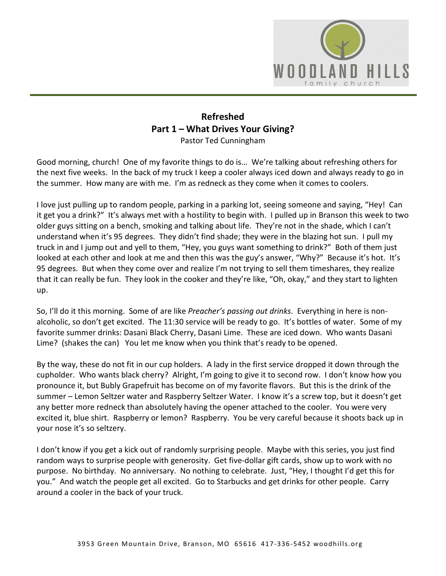

## **Refreshed Part 1 – What Drives Your Giving?**  Pastor Ted Cunningham

Good morning, church! One of my favorite things to do is… We're talking about refreshing others for the next five weeks. In the back of my truck I keep a cooler always iced down and always ready to go in the summer. How many are with me. I'm as redneck as they come when it comes to coolers.

I love just pulling up to random people, parking in a parking lot, seeing someone and saying, "Hey! Can it get you a drink?" It's always met with a hostility to begin with. I pulled up in Branson this week to two older guys sitting on a bench, smoking and talking about life. They're not in the shade, which I can't understand when it's 95 degrees. They didn't find shade; they were in the blazing hot sun. I pull my truck in and I jump out and yell to them, "Hey, you guys want something to drink?" Both of them just looked at each other and look at me and then this was the guy's answer, "Why?" Because it's hot. It's 95 degrees. But when they come over and realize I'm not trying to sell them timeshares, they realize that it can really be fun. They look in the cooker and they're like, "Oh, okay," and they start to lighten up.

So, I'll do it this morning. Some of are like *Preacher's passing out drinks*. Everything in here is nonalcoholic, so don't get excited. The 11:30 service will be ready to go. It's bottles of water. Some of my favorite summer drinks: Dasani Black Cherry, Dasani Lime. These are iced down. Who wants Dasani Lime? (shakes the can) You let me know when you think that's ready to be opened.

By the way, these do not fit in our cup holders. A lady in the first service dropped it down through the cupholder. Who wants black cherry? Alright, I'm going to give it to second row. I don't know how you pronounce it, but Bubly Grapefruit has become on of my favorite flavors. But this is the drink of the summer – Lemon Seltzer water and Raspberry Seltzer Water. I know it's a screw top, but it doesn't get any better more redneck than absolutely having the opener attached to the cooler. You were very excited it, blue shirt. Raspberry or lemon? Raspberry. You be very careful because it shoots back up in your nose it's so seltzery.

I don't know if you get a kick out of randomly surprising people. Maybe with this series, you just find random ways to surprise people with generosity. Get five-dollar gift cards, show up to work with no purpose. No birthday. No anniversary. No nothing to celebrate. Just, "Hey, I thought I'd get this for you." And watch the people get all excited. Go to Starbucks and get drinks for other people. Carry around a cooler in the back of your truck.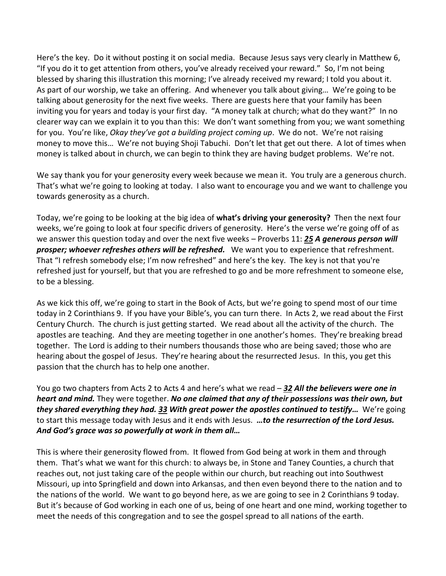Here's the key. Do it without posting it on social media. Because Jesus says very clearly in Matthew 6, "If you do it to get attention from others, you've already received your reward." So, I'm not being blessed by sharing this illustration this morning; I've already received my reward; I told you about it. As part of our worship, we take an offering. And whenever you talk about giving… We're going to be talking about generosity for the next five weeks. There are guests here that your family has been inviting you for years and today is your first day. "A money talk at church; what do they want?" In no clearer way can we explain it to you than this: We don't want something from you; we want something for you. You're like, *Okay they've got a building project coming up*. We do not. We're not raising money to move this… We're not buying Shoji Tabuchi. Don't let that get out there. A lot of times when money is talked about in church, we can begin to think they are having budget problems. We're not.

We say thank you for your generosity every week because we mean it. You truly are a generous church. That's what we're going to looking at today. I also want to encourage you and we want to challenge you towards generosity as a church.

Today, we're going to be looking at the big idea of **what's driving your generosity?** Then the next four weeks, we're going to look at four specific drivers of generosity. Here's the verse we're going off of as we answer this question today and over the next five weeks – Proverbs 11: *[25](https://www.studylight.org/desk/?q=pr%2011:25&t1=en_niv&sr=1) A generous person will prosper; whoever refreshes others will be refreshed.* We want you to experience that refreshment. That "I refresh somebody else; I'm now refreshed" and here's the key. The key is not that you're refreshed just for yourself, but that you are refreshed to go and be more refreshment to someone else, to be a blessing.

As we kick this off, we're going to start in the Book of Acts, but we're going to spend most of our time today in 2 Corinthians 9. If you have your Bible's, you can turn there. In Acts 2, we read about the First Century Church. The church is just getting started. We read about all the activity of the church. The apostles are teaching. And they are meeting together in one another's homes. They're breaking bread together. The Lord is adding to their numbers thousands those who are being saved; those who are hearing about the gospel of Jesus. They're hearing about the resurrected Jesus. In this, you get this passion that the church has to help one another.

You go two chapters from Acts 2 to Acts 4 and here's what we read – *[32](https://www.studylight.org/desk/?q=ac%204:32&t1=en_niv&sr=1) All the believers were one in heart and mind.* They were together. *No one claimed that any of their possessions was their own, but they shared everything they had. [33](https://www.studylight.org/desk/?q=ac%204:33&t1=en_niv&sr=1) With great power the apostles continued to testify…* We're going to start this message today with Jesus and it ends with Jesus. *…to the resurrection of the Lord Jesus. And God's grace was so powerfully at work in them all…*

This is where their generosity flowed from. It flowed from God being at work in them and through them. That's what we want for this church: to always be, in Stone and Taney Counties, a church that reaches out, not just taking care of the people within our church, but reaching out into Southwest Missouri, up into Springfield and down into Arkansas, and then even beyond there to the nation and to the nations of the world. We want to go beyond here, as we are going to see in 2 Corinthians 9 today. But it's because of God working in each one of us, being of one heart and one mind, working together to meet the needs of this congregation and to see the gospel spread to all nations of the earth.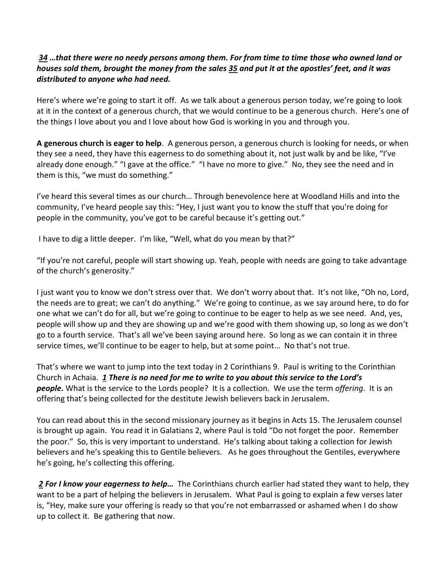## *[34](https://www.studylight.org/desk/?q=ac%204:34&t1=en_niv&sr=1) …that there were no needy persons among them. For from time to time those who owned land or houses sold them, brought the money from the sales [35](https://www.studylight.org/desk/?q=ac%204:35&t1=en_niv&sr=1) and put it at the apostles' feet, and it was distributed to anyone who had need.*

Here's where we're going to start it off. As we talk about a generous person today, we're going to look at it in the context of a generous church, that we would continue to be a generous church. Here's one of the things I love about you and I love about how God is working in you and through you.

**A generous church is eager to help**. A generous person, a generous church is looking for needs, or when they see a need, they have this eagerness to do something about it, not just walk by and be like, "I've already done enough." "I gave at the office." "I have no more to give." No, they see the need and in them is this, "we must do something."

I've heard this several times as our church… Through benevolence here at Woodland Hills and into the community, I've heard people say this: "Hey, I just want you to know the stuff that you're doing for people in the community, you've got to be careful because it's getting out."

I have to dig a little deeper. I'm like, "Well, what do you mean by that?"

"If you're not careful, people will start showing up. Yeah, people with needs are going to take advantage of the church's generosity."

I just want you to know we don't stress over that. We don't worry about that. It's not like, "Oh no, Lord, the needs are to great; we can't do anything." We're going to continue, as we say around here, to do for one what we can't do for all, but we're going to continue to be eager to help as we see need. And, yes, people will show up and they are showing up and we're good with them showing up, so long as we don't go to a fourth service. That's all we've been saying around here. So long as we can contain it in three service times, we'll continue to be eager to help, but at some point… No that's not true.

That's where we want to jump into the text today in 2 Corinthians 9. Paul is writing to the Corinthian Church in Achaia. *[1](https://www.studylight.org/desk/?q=2co%209:1&t1=en_niv&sr=1) There is no need for me to write to you about this service to the Lord's people.* What is the service to the Lords people? It is a collection. We use the term *offering*. It is an offering that's being collected for the destitute Jewish believers back in Jerusalem.

You can read about this in the second missionary journey as it begins in Acts 15. The Jerusalem counsel is brought up again. You read it in Galatians 2, where Paul is told "Do not forget the poor. Remember the poor." So, this is very important to understand. He's talking about taking a collection for Jewish believers and he's speaking this to Gentile believers. As he goes throughout the Gentiles, everywhere he's going, he's collecting this offering.

 *[2](https://www.studylight.org/desk/?q=2co%209:2&t1=en_niv&sr=1) For I know your eagerness to help…* The Corinthians church earlier had stated they want to help, they want to be a part of helping the believers in Jerusalem. What Paul is going to explain a few verses later is, "Hey, make sure your offering is ready so that you're not embarrassed or ashamed when I do show up to collect it. Be gathering that now.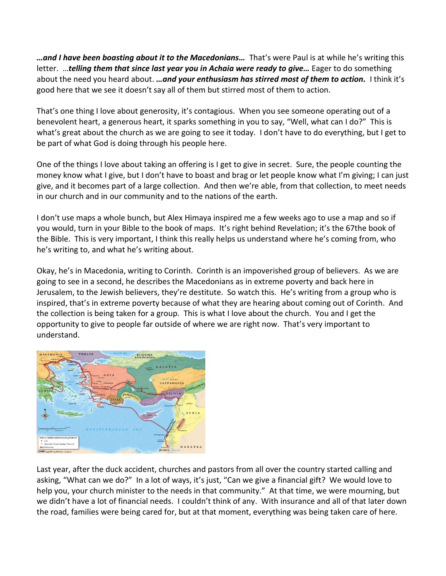*…and I have been boasting about it to the Macedonians…* That's were Paul is at while he's writing this letter. …*telling them that since last year you in Achaia were ready to give…* Eager to do something about the need you heard about. *…and your enthusiasm has stirred most of them to action.* I think it's good here that we see it doesn't say all of them but stirred most of them to action.

That's one thing I love about generosity, it's contagious. When you see someone operating out of a benevolent heart, a generous heart, it sparks something in you to say, "Well, what can I do?" This is what's great about the church as we are going to see it today. I don't have to do everything, but I get to be part of what God is doing through his people here.

One of the things I love about taking an offering is I get to give in secret. Sure, the people counting the money know what I give, but I don't have to boast and brag or let people know what I'm giving; I can just give, and it becomes part of a large collection. And then we're able, from that collection, to meet needs in our church and in our community and to the nations of the earth.

I don't use maps a whole bunch, but Alex Himaya inspired me a few weeks ago to use a map and so if you would, turn in your Bible to the book of maps. It's right behind Revelation; it's the 67the book of the Bible. This is very important, I think this really helps us understand where he's coming from, who he's writing to, and what he's writing about.

Okay, he's in Macedonia, writing to Corinth. Corinth is an impoverished group of believers. As we are going to see in a second, he describes the Macedonians as in extreme poverty and back here in Jerusalem, to the Jewish believers, they're destitute. So watch this. He's writing from a group who is inspired, that's in extreme poverty because of what they are hearing about coming out of Corinth. And the collection is being taken for a group. This is what I love about the church. You and I get the opportunity to give to people far outside of where we are right now. That's very important to understand.



Last year, after the duck accident, churches and pastors from all over the country started calling and asking, "What can we do?" In a lot of ways, it's just, "Can we give a financial gift? We would love to help you, your church minister to the needs in that community." At that time, we were mourning, but we didn't have a lot of financial needs. I couldn't think of any. With insurance and all of that later down the road, families were being cared for, but at that moment, everything was being taken care of here.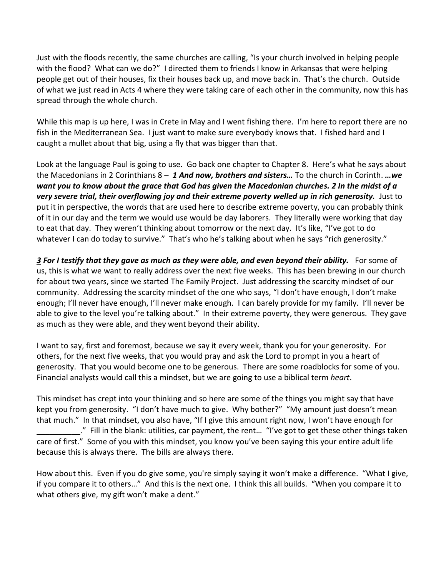Just with the floods recently, the same churches are calling, "Is your church involved in helping people with the flood? What can we do?" I directed them to friends I know in Arkansas that were helping people get out of their houses, fix their houses back up, and move back in. That's the church. Outside of what we just read in Acts 4 where they were taking care of each other in the community, now this has spread through the whole church.

While this map is up here, I was in Crete in May and I went fishing there. I'm here to report there are no fish in the Mediterranean Sea. I just want to make sure everybody knows that. I fished hard and I caught a mullet about that big, using a fly that was bigger than that.

Look at the language Paul is going to use. Go back one chapter to Chapter 8. Here's what he says about the Macedonians in 2 Corinthians 8 – *[1](https://www.studylight.org/desk/?q=2co%208:1&t1=en_niv&sr=1) And now, brothers and sisters…* To the church in Corinth. *…we want you to know about the grace that God has given the Macedonian churches. [2](https://www.studylight.org/desk/?q=2co%208:2&t1=en_niv&sr=1) In the midst of a very severe trial, their overflowing joy and their extreme poverty welled up in rich generosity.* Just to put it in perspective, the words that are used here to describe extreme poverty, you can probably think of it in our day and the term we would use would be day laborers. They literally were working that day to eat that day. They weren't thinking about tomorrow or the next day. It's like, "I've got to do whatever I can do today to survive." That's who he's talking about when he says "rich generosity."

*[3](https://www.studylight.org/desk/?q=2co%208:3&t1=en_niv&sr=1) For I testify that they gave as much as they were able, and even beyond their ability.* For some of us, this is what we want to really address over the next five weeks. This has been brewing in our church for about two years, since we started The Family Project. Just addressing the scarcity mindset of our community. Addressing the scarcity mindset of the one who says, "I don't have enough, I don't make enough; I'll never have enough, I'll never make enough. I can barely provide for my family. I'll never be able to give to the level you're talking about." In their extreme poverty, they were generous. They gave as much as they were able, and they went beyond their ability.

I want to say, first and foremost, because we say it every week, thank you for your generosity. For others, for the next five weeks, that you would pray and ask the Lord to prompt in you a heart of generosity. That you would become one to be generous. There are some roadblocks for some of you. Financial analysts would call this a mindset, but we are going to use a biblical term *heart*.

This mindset has crept into your thinking and so here are some of the things you might say that have kept you from generosity. "I don't have much to give. Why bother?" "My amount just doesn't mean that much." In that mindset, you also have, "If I give this amount right now, I won't have enough for \_\_\_\_\_\_\_\_\_\_." Fill in the blank: utilities, car payment, the rent… "I've got to get these other things taken care of first." Some of you with this mindset, you know you've been saying this your entire adult life because this is always there. The bills are always there.

How about this. Even if you do give some, you're simply saying it won't make a difference. "What I give, if you compare it to others…" And this is the next one. I think this all builds. "When you compare it to what others give, my gift won't make a dent."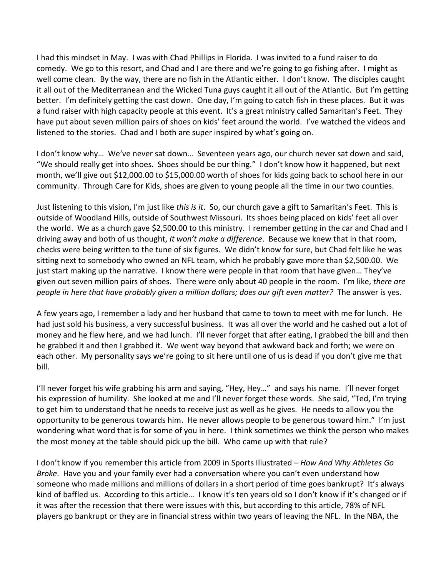I had this mindset in May. I was with Chad Phillips in Florida. I was invited to a fund raiser to do comedy. We go to this resort, and Chad and I are there and we're going to go fishing after. I might as well come clean. By the way, there are no fish in the Atlantic either. I don't know. The disciples caught it all out of the Mediterranean and the Wicked Tuna guys caught it all out of the Atlantic. But I'm getting better. I'm definitely getting the cast down. One day, I'm going to catch fish in these places. But it was a fund raiser with high capacity people at this event. It's a great ministry called Samaritan's Feet. They have put about seven million pairs of shoes on kids' feet around the world. I've watched the videos and listened to the stories. Chad and I both are super inspired by what's going on.

I don't know why… We've never sat down… Seventeen years ago, our church never sat down and said, "We should really get into shoes. Shoes should be our thing." I don't know how it happened, but next month, we'll give out \$12,000.00 to \$15,000.00 worth of shoes for kids going back to school here in our community. Through Care for Kids, shoes are given to young people all the time in our two counties.

Just listening to this vision, I'm just like *this is it*. So, our church gave a gift to Samaritan's Feet. This is outside of Woodland Hills, outside of Southwest Missouri. Its shoes being placed on kids' feet all over the world. We as a church gave \$2,500.00 to this ministry. I remember getting in the car and Chad and I driving away and both of us thought, *It won't make a difference*. Because we knew that in that room, checks were being written to the tune of six figures. We didn't know for sure, but Chad felt like he was sitting next to somebody who owned an NFL team, which he probably gave more than \$2,500.00. We just start making up the narrative. I know there were people in that room that have given… They've given out seven million pairs of shoes. There were only about 40 people in the room. I'm like, *there are people in here that have probably given a million dollars; does our gift even matter?* The answer is yes.

A few years ago, I remember a lady and her husband that came to town to meet with me for lunch. He had just sold his business, a very successful business. It was all over the world and he cashed out a lot of money and he flew here, and we had lunch. I'll never forget that after eating, I grabbed the bill and then he grabbed it and then I grabbed it. We went way beyond that awkward back and forth; we were on each other. My personality says we're going to sit here until one of us is dead if you don't give me that bill.

I'll never forget his wife grabbing his arm and saying, "Hey, Hey…" and says his name. I'll never forget his expression of humility. She looked at me and I'll never forget these words. She said, "Ted, I'm trying to get him to understand that he needs to receive just as well as he gives. He needs to allow you the opportunity to be generous towards him. He never allows people to be generous toward him." I'm just wondering what word that is for some of you in here. I think sometimes we think the person who makes the most money at the table should pick up the bill. Who came up with that rule?

I don't know if you remember this article from 2009 in Sports Illustrated – *How And Why Athletes Go Broke*. Have you and your family ever had a conversation where you can't even understand how someone who made millions and millions of dollars in a short period of time goes bankrupt? It's always kind of baffled us. According to this article… I know it's ten years old so I don't know if it's changed or if it was after the recession that there were issues with this, but according to this article, 78% of NFL players go bankrupt or they are in financial stress within two years of leaving the NFL. In the NBA, the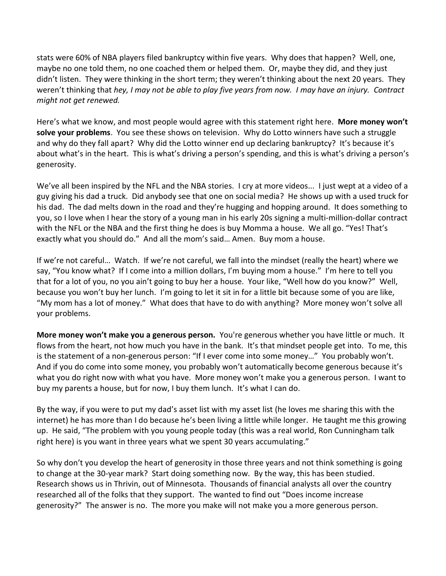stats were 60% of NBA players filed bankruptcy within five years. Why does that happen? Well, one, maybe no one told them, no one coached them or helped them. Or, maybe they did, and they just didn't listen. They were thinking in the short term; they weren't thinking about the next 20 years. They weren't thinking that *hey, I may not be able to play five years from now. I may have an injury. Contract might not get renewed.* 

Here's what we know, and most people would agree with this statement right here. **More money won't solve your problems**. You see these shows on television. Why do Lotto winners have such a struggle and why do they fall apart? Why did the Lotto winner end up declaring bankruptcy? It's because it's about what's in the heart. This is what's driving a person's spending, and this is what's driving a person's generosity.

We've all been inspired by the NFL and the NBA stories. I cry at more videos... I just wept at a video of a guy giving his dad a truck. Did anybody see that one on social media? He shows up with a used truck for his dad. The dad melts down in the road and they're hugging and hopping around. It does something to you, so I love when I hear the story of a young man in his early 20s signing a multi-million-dollar contract with the NFL or the NBA and the first thing he does is buy Momma a house. We all go. "Yes! That's exactly what you should do." And all the mom's said… Amen. Buy mom a house.

If we're not careful… Watch. If we're not careful, we fall into the mindset (really the heart) where we say, "You know what? If I come into a million dollars, I'm buying mom a house." I'm here to tell you that for a lot of you, no you ain't going to buy her a house. Your like, "Well how do you know?" Well, because you won't buy her lunch. I'm going to let it sit in for a little bit because some of you are like, "My mom has a lot of money." What does that have to do with anything? More money won't solve all your problems.

**More money won't make you a generous person.** You're generous whether you have little or much. It flows from the heart, not how much you have in the bank. It's that mindset people get into. To me, this is the statement of a non-generous person: "If I ever come into some money…" You probably won't. And if you do come into some money, you probably won't automatically become generous because it's what you do right now with what you have. More money won't make you a generous person. I want to buy my parents a house, but for now, I buy them lunch. It's what I can do.

By the way, if you were to put my dad's asset list with my asset list (he loves me sharing this with the internet) he has more than I do because he's been living a little while longer. He taught me this growing up. He said, "The problem with you young people today (this was a real world, Ron Cunningham talk right here) is you want in three years what we spent 30 years accumulating."

So why don't you develop the heart of generosity in those three years and not think something is going to change at the 30-year mark? Start doing something now. By the way, this has been studied. Research shows us in Thrivin, out of Minnesota. Thousands of financial analysts all over the country researched all of the folks that they support. The wanted to find out "Does income increase generosity?" The answer is no. The more you make will not make you a more generous person.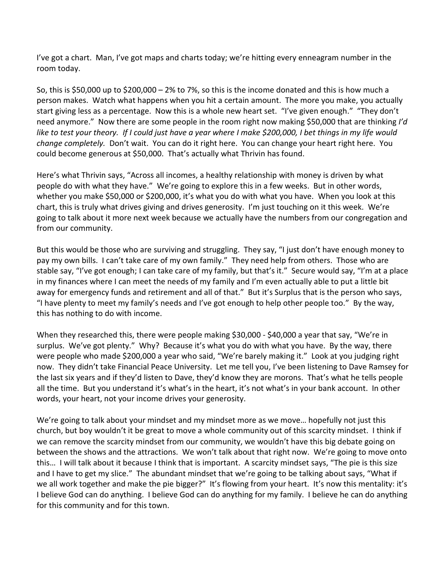I've got a chart. Man, I've got maps and charts today; we're hitting every enneagram number in the room today.

So, this is \$50,000 up to \$200,000 – 2% to 7%, so this is the income donated and this is how much a person makes. Watch what happens when you hit a certain amount. The more you make, you actually start giving less as a percentage. Now this is a whole new heart set. "I've given enough." "They don't need anymore." Now there are some people in the room right now making \$50,000 that are thinking *I'd like to test your theory. If I could just have a year where I make \$200,000, I bet things in my life would change completely.* Don't wait. You can do it right here. You can change your heart right here. You could become generous at \$50,000. That's actually what Thrivin has found.

Here's what Thrivin says, "Across all incomes, a healthy relationship with money is driven by what people do with what they have." We're going to explore this in a few weeks. But in other words, whether you make \$50,000 or \$200,000, it's what you do with what you have. When you look at this chart, this is truly what drives giving and drives generosity. I'm just touching on it this week. We're going to talk about it more next week because we actually have the numbers from our congregation and from our community.

But this would be those who are surviving and struggling. They say, "I just don't have enough money to pay my own bills. I can't take care of my own family." They need help from others. Those who are stable say, "I've got enough; I can take care of my family, but that's it." Secure would say, "I'm at a place in my finances where I can meet the needs of my family and I'm even actually able to put a little bit away for emergency funds and retirement and all of that." But it's Surplus that is the person who says, "I have plenty to meet my family's needs and I've got enough to help other people too." By the way, this has nothing to do with income.

When they researched this, there were people making \$30,000 - \$40,000 a year that say, "We're in surplus. We've got plenty." Why? Because it's what you do with what you have. By the way, there were people who made \$200,000 a year who said, "We're barely making it." Look at you judging right now. They didn't take Financial Peace University. Let me tell you, I've been listening to Dave Ramsey for the last six years and if they'd listen to Dave, they'd know they are morons. That's what he tells people all the time. But you understand it's what's in the heart, it's not what's in your bank account. In other words, your heart, not your income drives your generosity.

We're going to talk about your mindset and my mindset more as we move… hopefully not just this church, but boy wouldn't it be great to move a whole community out of this scarcity mindset. I think if we can remove the scarcity mindset from our community, we wouldn't have this big debate going on between the shows and the attractions. We won't talk about that right now. We're going to move onto this… I will talk about it because I think that is important. A scarcity mindset says, "The pie is this size and I have to get my slice." The abundant mindset that we're going to be talking about says, "What if we all work together and make the pie bigger?" It's flowing from your heart. It's now this mentality: it's I believe God can do anything. I believe God can do anything for my family. I believe he can do anything for this community and for this town.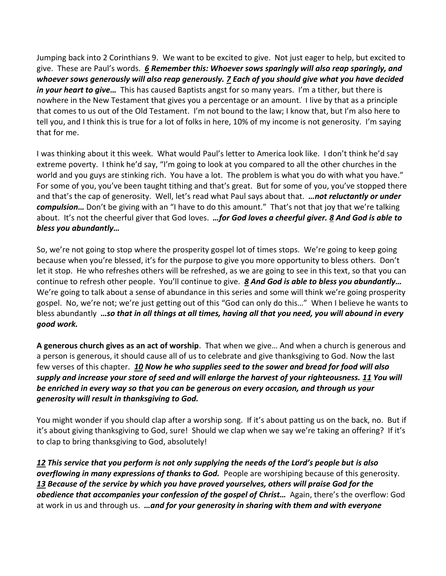Jumping back into 2 Corinthians 9. We want to be excited to give. Not just eager to help, but excited to give. These are Paul's words. *[6](https://www.studylight.org/desk/?q=2co%209:6&t1=en_niv&sr=1) Remember this: Whoever sows sparingly will also reap sparingly, and whoever sows generously will also reap generously. [7](https://www.studylight.org/desk/?q=2co%209:7&t1=en_niv&sr=1) Each of you should give what you have decided in your heart to give…* This has caused Baptists angst for so many years. I'm a tither, but there is nowhere in the New Testament that gives you a percentage or an amount. I live by that as a principle that comes to us out of the Old Testament. I'm not bound to the law; I know that, but I'm also here to tell you, and I think this is true for a lot of folks in here, 10% of my income is not generosity. I'm saying that for me.

I was thinking about it this week. What would Paul's letter to America look like. I don't think he'd say extreme poverty. I think he'd say, "I'm going to look at you compared to all the other churches in the world and you guys are stinking rich. You have a lot. The problem is what you do with what you have." For some of you, you've been taught tithing and that's great. But for some of you, you've stopped there and that's the cap of generosity. Well, let's read what Paul says about that. *…not reluctantly or under compulsion…* Don't be giving with an "I have to do this amount." That's not that joy that we're talking about. It's not the cheerful giver that God loves. *…for God loves a cheerful giver. [8](https://www.studylight.org/desk/?q=2co%209:8&t1=en_niv&sr=1) And God is able to bless you abundantly…*

So, we're not going to stop where the prosperity gospel lot of times stops. We're going to keep going because when you're blessed, it's for the purpose to give you more opportunity to bless others. Don't let it stop. He who refreshes others will be refreshed, as we are going to see in this text, so that you can continue to refresh other people. You'll continue to give. *[8](https://www.studylight.org/desk/?q=2co%209:8&t1=en_niv&sr=1) And God is able to bless you abundantly…*  We're going to talk about a sense of abundance in this series and some will think we're going prosperity gospel. No, we're not; we're just getting out of this "God can only do this…" When I believe he wants to bless abundantly *…so that in all things at all times, having all that you need, you will abound in every good work.*

**A generous church gives as an act of worship**. That when we give… And when a church is generous and a person is generous, it should cause all of us to celebrate and give thanksgiving to God. Now the last few verses of this chapter. *[10](https://www.studylight.org/desk/?q=2co%209:10&t1=en_niv&sr=1) Now he who supplies seed to the sower and bread for food will also supply and increase your store of seed and will enlarge the harvest of your righteousness. [11](https://www.studylight.org/desk/?q=2co%209:11&t1=en_niv&sr=1) You will be enriched in every way so that you can be generous on every occasion, and through us your generosity will result in thanksgiving to God.*

You might wonder if you should clap after a worship song. If it's about patting us on the back, no. But if it's about giving thanksgiving to God, sure! Should we clap when we say we're taking an offering? If it's to clap to bring thanksgiving to God, absolutely!

*[12](https://www.studylight.org/desk/?q=2co%209:12&t1=en_niv&sr=1) This service that you perform is not only supplying the needs of the Lord's people but is also overflowing in many expressions of thanks to God.* People are worshiping because of this generosity. *[13](https://www.studylight.org/desk/?q=2co%209:13&t1=en_niv&sr=1) Because of the service by which you have proved yourselves, others will praise God for the obedience that accompanies your confession of the gospel of Christ…* Again, there's the overflow: God at work in us and through us. *…and for your generosity in sharing with them and with everyone*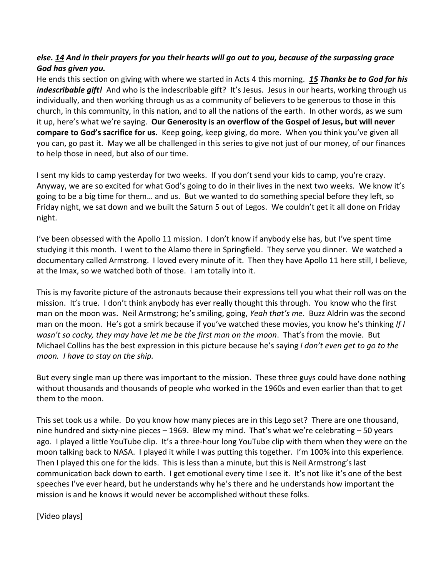## *else. [14](https://www.studylight.org/desk/?q=2co%209:14&t1=en_niv&sr=1) And in their prayers for you their hearts will go out to you, because of the surpassing grace God has given you.*

He ends this section on giving with where we started in Acts 4 this morning. *[15](https://www.studylight.org/desk/?q=2co%209:15&t1=en_niv&sr=1) Thanks be to God for his indescribable gift!* And who is the indescribable gift? It's Jesus. Jesus in our hearts, working through us individually, and then working through us as a community of believers to be generous to those in this church, in this community, in this nation, and to all the nations of the earth. In other words, as we sum it up, here's what we're saying. **Our Generosity is an overflow of the Gospel of Jesus, but will never compare to God's sacrifice for us.** Keep going, keep giving, do more. When you think you've given all you can, go past it. May we all be challenged in this series to give not just of our money, of our finances to help those in need, but also of our time.

I sent my kids to camp yesterday for two weeks. If you don't send your kids to camp, you're crazy. Anyway, we are so excited for what God's going to do in their lives in the next two weeks. We know it's going to be a big time for them… and us. But we wanted to do something special before they left, so Friday night, we sat down and we built the Saturn 5 out of Legos. We couldn't get it all done on Friday night.

I've been obsessed with the Apollo 11 mission. I don't know if anybody else has, but I've spent time studying it this month. I went to the Alamo there in Springfield. They serve you dinner. We watched a documentary called Armstrong. I loved every minute of it. Then they have Apollo 11 here still, I believe, at the Imax, so we watched both of those. I am totally into it.

This is my favorite picture of the astronauts because their expressions tell you what their roll was on the mission. It's true. I don't think anybody has ever really thought this through. You know who the first man on the moon was. Neil Armstrong; he's smiling, going, *Yeah that's me*. Buzz Aldrin was the second man on the moon. He's got a smirk because if you've watched these movies, you know he's thinking *If I wasn't so cocky, they may have let me be the first man on the moon*. That's from the movie. But Michael Collins has the best expression in this picture because he's saying *I don't even get to go to the moon. I have to stay on the ship.* 

But every single man up there was important to the mission. These three guys could have done nothing without thousands and thousands of people who worked in the 1960s and even earlier than that to get them to the moon.

This set took us a while. Do you know how many pieces are in this Lego set? There are one thousand, nine hundred and sixty-nine pieces – 1969. Blew my mind. That's what we're celebrating – 50 years ago. I played a little YouTube clip. It's a three-hour long YouTube clip with them when they were on the moon talking back to NASA. I played it while I was putting this together. I'm 100% into this experience. Then I played this one for the kids. This is less than a minute, but this is Neil Armstrong's last communication back down to earth. I get emotional every time I see it. It's not like it's one of the best speeches I've ever heard, but he understands why he's there and he understands how important the mission is and he knows it would never be accomplished without these folks.

[Video plays]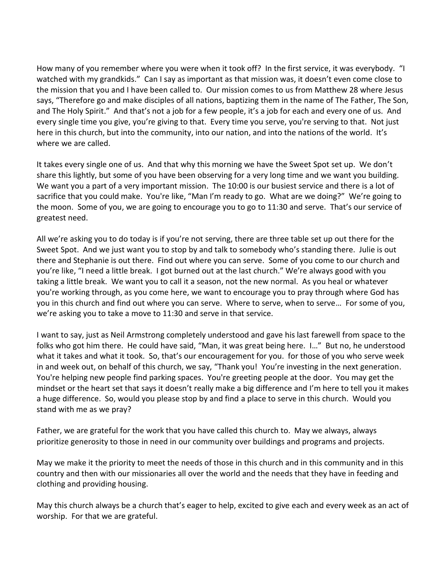How many of you remember where you were when it took off? In the first service, it was everybody. "I watched with my grandkids." Can I say as important as that mission was, it doesn't even come close to the mission that you and I have been called to. Our mission comes to us from Matthew 28 where Jesus says, "Therefore go and make disciples of all nations, baptizing them in the name of The Father, The Son, and The Holy Spirit." And that's not a job for a few people, it's a job for each and every one of us. And every single time you give, you're giving to that. Every time you serve, you're serving to that. Not just here in this church, but into the community, into our nation, and into the nations of the world. It's where we are called.

It takes every single one of us. And that why this morning we have the Sweet Spot set up. We don't share this lightly, but some of you have been observing for a very long time and we want you building. We want you a part of a very important mission. The 10:00 is our busiest service and there is a lot of sacrifice that you could make. You're like, "Man I'm ready to go. What are we doing?" We're going to the moon. Some of you, we are going to encourage you to go to 11:30 and serve. That's our service of greatest need.

All we're asking you to do today is if you're not serving, there are three table set up out there for the Sweet Spot. And we just want you to stop by and talk to somebody who's standing there. Julie is out there and Stephanie is out there. Find out where you can serve. Some of you come to our church and you're like, "I need a little break. I got burned out at the last church." We're always good with you taking a little break. We want you to call it a season, not the new normal. As you heal or whatever you're working through, as you come here, we want to encourage you to pray through where God has you in this church and find out where you can serve. Where to serve, when to serve… For some of you, we're asking you to take a move to 11:30 and serve in that service.

I want to say, just as Neil Armstrong completely understood and gave his last farewell from space to the folks who got him there. He could have said, "Man, it was great being here. I…" But no, he understood what it takes and what it took. So, that's our encouragement for you. for those of you who serve week in and week out, on behalf of this church, we say, "Thank you! You're investing in the next generation. You're helping new people find parking spaces. You're greeting people at the door. You may get the mindset or the heart set that says it doesn't really make a big difference and I'm here to tell you it makes a huge difference. So, would you please stop by and find a place to serve in this church. Would you stand with me as we pray?

Father, we are grateful for the work that you have called this church to. May we always, always prioritize generosity to those in need in our community over buildings and programs and projects.

May we make it the priority to meet the needs of those in this church and in this community and in this country and then with our missionaries all over the world and the needs that they have in feeding and clothing and providing housing.

May this church always be a church that's eager to help, excited to give each and every week as an act of worship. For that we are grateful.